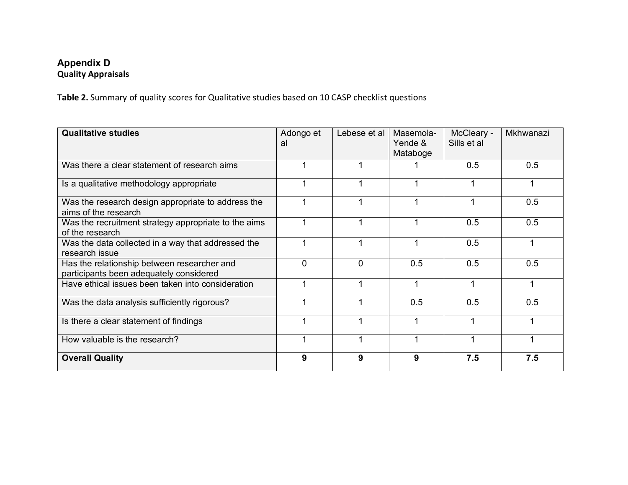## **Appendix D Quality Appraisals**

**Table 2.** Summary of quality scores for Qualitative studies based on 10 CASP checklist questions

| <b>Qualitative studies</b>                                                             | Adongo et<br>al | Lebese et al | Masemola-<br>Yende &<br>Mataboge | McCleary -<br>Sills et al | Mkhwanazi |
|----------------------------------------------------------------------------------------|-----------------|--------------|----------------------------------|---------------------------|-----------|
| Was there a clear statement of research aims                                           |                 |              |                                  | 0.5                       | 0.5       |
| Is a qualitative methodology appropriate                                               |                 |              |                                  |                           |           |
| Was the research design appropriate to address the<br>aims of the research             |                 |              |                                  |                           | 0.5       |
| Was the recruitment strategy appropriate to the aims<br>of the research                |                 |              |                                  | 0.5                       | 0.5       |
| Was the data collected in a way that addressed the<br>research issue                   |                 |              |                                  | 0.5                       | 1         |
| Has the relationship between researcher and<br>participants been adequately considered | $\mathbf 0$     | $\Omega$     | 0.5                              | 0.5                       | 0.5       |
| Have ethical issues been taken into consideration                                      |                 |              | 1                                |                           | 1         |
| Was the data analysis sufficiently rigorous?                                           |                 |              | 0.5                              | 0.5                       | 0.5       |
| Is there a clear statement of findings                                                 |                 |              |                                  |                           |           |
| How valuable is the research?                                                          |                 |              |                                  |                           |           |
| <b>Overall Quality</b>                                                                 | 9               | 9            | 9                                | 7.5                       | 7.5       |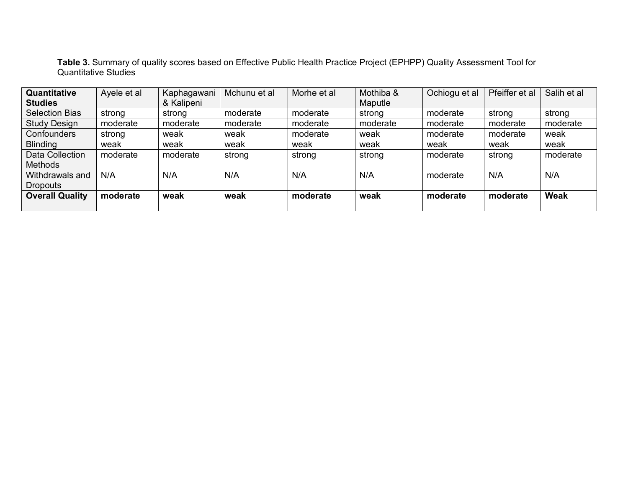**Table 3.** Summary of quality scores based on Effective Public Health Practice Project (EPHPP) Quality Assessment Tool for Quantitative Studies

| Quantitative<br><b>Studies</b>     | Ayele et al | Kaphagawani<br>& Kalipeni | Mchunu et al | Morhe et al | Mothiba &<br>Maputle | Ochiogu et al | Pfeiffer et al | Salih et al |
|------------------------------------|-------------|---------------------------|--------------|-------------|----------------------|---------------|----------------|-------------|
| <b>Selection Bias</b>              | strong      | strong                    | moderate     | moderate    | strong               | moderate      | strong         | strong      |
| <b>Study Design</b>                | moderate    | moderate                  | moderate     | moderate    | moderate             | moderate      | moderate       | moderate    |
| Confounders                        | strong      | weak                      | weak         | moderate    | weak                 | moderate      | moderate       | weak        |
| <b>Blinding</b>                    | weak        | weak                      | weak         | weak        | weak                 | weak          | weak           | weak        |
| Data Collection<br><b>Methods</b>  | moderate    | moderate                  | strong       | strong      | strong               | moderate      | strong         | moderate    |
| Withdrawals and<br><b>Dropouts</b> | N/A         | N/A                       | N/A          | N/A         | N/A                  | moderate      | N/A            | N/A         |
| <b>Overall Quality</b>             | moderate    | weak                      | weak         | moderate    | weak                 | moderate      | moderate       | Weak        |